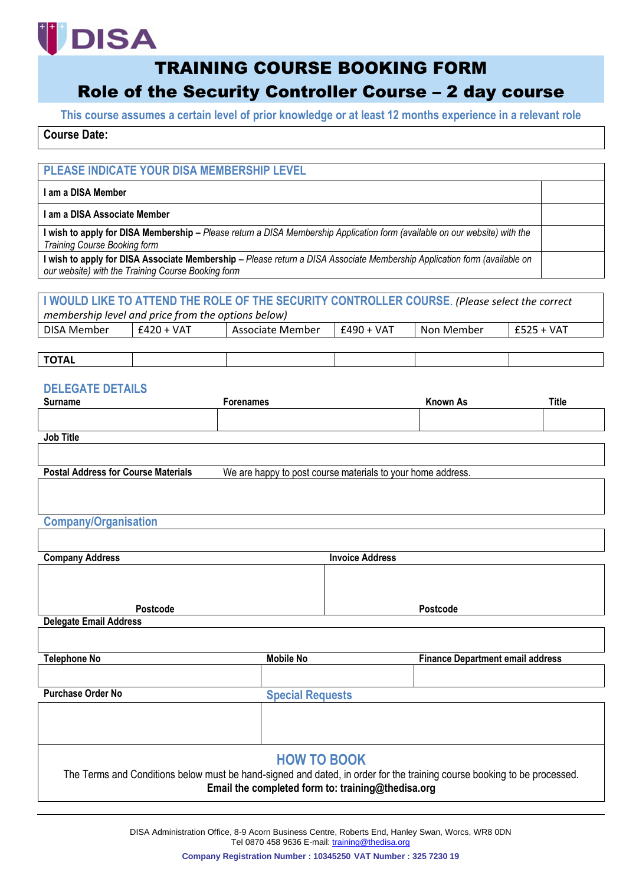# **DISA**

## TRAINING COURSE BOOKING FORM

# Role of the Security Controller Course – 2 day course

**This course assumes a certain level of prior knowledge or at least 12 months experience in a relevant role**

## **Course Date:**

## **PLEASE INDICATE YOUR DISA MEMBERSHIP LEVEL**

#### **I am a DISA Member**

**I am a DISA Associate Member**

**I wish to apply for DISA Membership –** *Please return a DISA Membership Application form (available on our website) with the Training Course Booking form*

**I wish to apply for DISA Associate Membership –** *Please return a DISA Associate Membership Application form (available on our website) with the Training Course Booking form*

## **I WOULD LIKE TO ATTEND THE ROLE OF THE SECURITY CONTROLLER COURSE**. *(Please select the correct*

*membership level and price from the options below)*

| <b>DISA</b><br>. Member | VA1<br>17 T | Associate<br>Member | -49∩<br>VAT<br>∸−∽ | . Member<br>Non. | VAT<br>--- |
|-------------------------|-------------|---------------------|--------------------|------------------|------------|
|                         |             |                     |                    |                  |            |

## **TOTAL**

## **DELEGATE DETAILS**

| <b>Surname</b>   | Forenames | <b>Known As</b> | <b>Title</b> |
|------------------|-----------|-----------------|--------------|
|                  |           |                 |              |
|                  |           |                 |              |
| <b>Job Title</b> |           |                 |              |

**Postal Address for Course Materials** We are happy to post course materials to your home address.

#### **Company/Organisation**

| <b>Company Address</b>        | <b>Invoice Address</b>                            |                                                                                                                         |
|-------------------------------|---------------------------------------------------|-------------------------------------------------------------------------------------------------------------------------|
|                               |                                                   |                                                                                                                         |
|                               |                                                   |                                                                                                                         |
|                               |                                                   |                                                                                                                         |
| <b>Postcode</b>               |                                                   | <b>Postcode</b>                                                                                                         |
| <b>Delegate Email Address</b> |                                                   |                                                                                                                         |
|                               |                                                   |                                                                                                                         |
|                               |                                                   |                                                                                                                         |
| <b>Telephone No</b>           | <b>Mobile No</b>                                  | <b>Finance Department email address</b>                                                                                 |
|                               |                                                   |                                                                                                                         |
|                               |                                                   |                                                                                                                         |
| <b>Purchase Order No</b>      | <b>Special Requests</b>                           |                                                                                                                         |
|                               |                                                   |                                                                                                                         |
|                               |                                                   |                                                                                                                         |
|                               |                                                   |                                                                                                                         |
|                               |                                                   |                                                                                                                         |
|                               | <b>HOW TO BOOK</b>                                |                                                                                                                         |
|                               |                                                   | The Terms and Conditions below must be hand-signed and dated, in order for the training course booking to be processed. |
|                               | Email the completed form to: training@thedisa.org |                                                                                                                         |
|                               |                                                   |                                                                                                                         |

DISA Administration Office, 8-9 Acorn Business Centre, Roberts End, Hanley Swan, Worcs, WR8 0DN Tel 0870 458 9636 E-mail: [training@thedisa.org](mailto:training@thedisa.org)